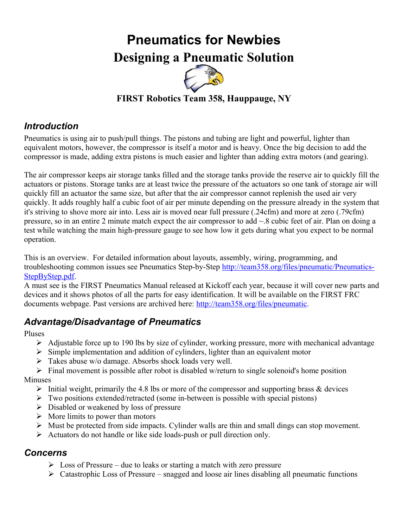# **Pneumatics for Newbies Designing a Pneumatic Solution**



## **FIRST Robotics Team 358, Hauppauge, NY**

## *Introduction*

Pneumatics is using air to push/pull things. The pistons and tubing are light and powerful, lighter than equivalent motors, however, the compressor is itself a motor and is heavy. Once the big decision to add the compressor is made, adding extra pistons is much easier and lighter than adding extra motors (and gearing).

The air compressor keeps air storage tanks filled and the storage tanks provide the reserve air to quickly fill the actuators or pistons. Storage tanks are at least twice the pressure of the actuators so one tank of storage air will quickly fill an actuator the same size, but after that the air compressor cannot replenish the used air very quickly. It adds roughly half a cubic foot of air per minute depending on the pressure already in the system that it's striving to shove more air into. Less air is moved near full pressure (.24cfm) and more at zero (.79cfm) pressure, so in an entire 2 minute match expect the air compressor to add ~.8 cubic feet of air. Plan on doing a test while watching the main high-pressure gauge to see how low it gets during what you expect to be normal operation.

This is an overview. For detailed information about layouts, assembly, wiring, programming, and troubleshooting common issues see Pneumatics Step-by-Step [http://team358.org/files/pneumatic/Pneumatics-](http://team358.org/files/pneumatic/Pneumatics-StepByStep.pdf)[StepByStep.pdf.](http://team358.org/files/pneumatic/Pneumatics-StepByStep.pdf)

A must see is the FIRST Pneumatics Manual released at Kickoff each year, because it will cover new parts and devices and it shows photos of all the parts for easy identification. It will be available on the FIRST FRC documents webpage. Past versions are archived here: [http://team358.org/files/pneumatic.](http://team358.org/files/pneumatic)

## *Advantage/Disadvantage of Pneumatics*

Pluses

- $\triangleright$  Adjustable force up to 190 lbs by size of cylinder, working pressure, more with mechanical advantage
- $\triangleright$  Simple implementation and addition of cylinders, lighter than an equivalent motor
- $\triangleright$  Takes abuse w/o damage. Absorbs shock loads very well.
- $\triangleright$  Final movement is possible after robot is disabled w/return to single solenoid's home position

Minuses

- Initial weight, primarily the 4.8 lbs or more of the compressor and supporting brass & devices
- $\triangleright$  Two positions extended/retracted (some in-between is possible with special pistons)
- $\triangleright$  Disabled or weakened by loss of pressure
- $\triangleright$  More limits to power than motors
- $\triangleright$  Must be protected from side impacts. Cylinder walls are thin and small dings can stop movement.
- $\triangleright$  Actuators do not handle or like side loads-push or pull direction only.

#### *Concerns*

- $\triangleright$  Loss of Pressure due to leaks or starting a match with zero pressure
- $\triangleright$  Catastrophic Loss of Pressure snagged and loose air lines disabling all pneumatic functions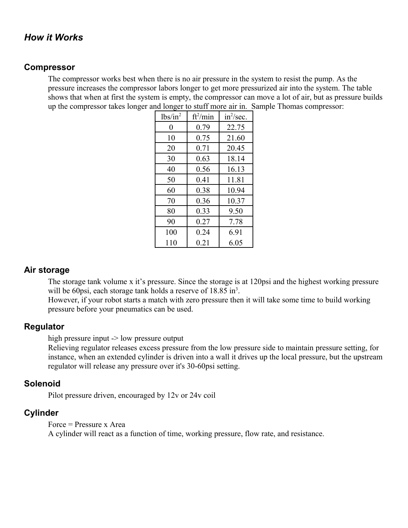#### *How it Works*

#### **Compressor**

The compressor works best when there is no air pressure in the system to resist the pump. As the pressure increases the compressor labors longer to get more pressurized air into the system. The table shows that when at first the system is empty, the compressor can move a lot of air, but as pressure builds up the compressor takes longer and longer to stuff more air in. Sample Thomas compressor:

| $lbs/in^2$ | $ft^2/min$ | $in^2/sec$ . |  |  |
|------------|------------|--------------|--|--|
| 0          | 0.79       | 22.75        |  |  |
| 10         | 0.75       | 21.60        |  |  |
| 20         | 0.71       | 20.45        |  |  |
| 30         | 0.63       | 18.14        |  |  |
| 40         | 0.56       | 16.13        |  |  |
| 50         | 0.41       | 11.81        |  |  |
| 60         | 0.38       | 10.94        |  |  |
| 70         | 0.36       | 10.37        |  |  |
| 80         | 0.33       | 9.50         |  |  |
| 90         | 0.27       | 7.78         |  |  |
| 100        | 0.24       | 6.91         |  |  |
| 110        | 0.21       | 6.05         |  |  |

#### **Air storage**

The storage tank volume x it's pressure. Since the storage is at 120psi and the highest working pressure will be 60psi, each storage tank holds a reserve of  $18.85$  in<sup>3</sup>.

However, if your robot starts a match with zero pressure then it will take some time to build working pressure before your pneumatics can be used.

#### **Regulator**

high pressure input -> low pressure output

Relieving regulator releases excess pressure from the low pressure side to maintain pressure setting, for instance, when an extended cylinder is driven into a wall it drives up the local pressure, but the upstream regulator will release any pressure over it's 30-60psi setting.

#### **Solenoid**

Pilot pressure driven, encouraged by 12v or 24v coil

#### **Cylinder**

Force = Pressure x Area

A cylinder will react as a function of time, working pressure, flow rate, and resistance.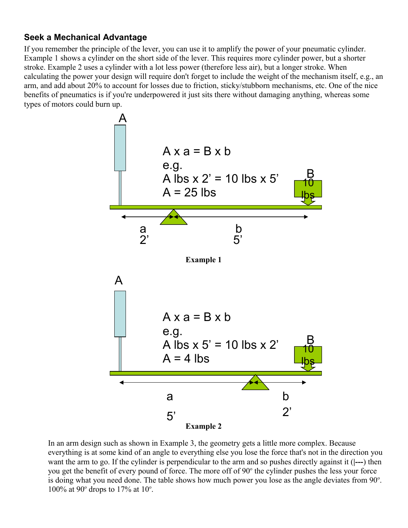#### **Seek a Mechanical Advantage**

If you remember the principle of the lever, you can use it to amplify the power of your pneumatic cylinder. Example 1 shows a cylinder on the short side of the lever. This requires more cylinder power, but a shorter stroke. Example 2 uses a cylinder with a lot less power (therefore less air), but a longer stroke. When calculating the power your design will require don't forget to include the weight of the mechanism itself, e.g., an arm, and add about 20% to account for losses due to friction, sticky/stubborn mechanisms, etc. One of the nice benefits of pneumatics is if you're underpowered it just sits there without damaging anything, whereas some types of motors could burn up.



In an arm design such as shown in Example 3, the geometry gets a little more complex. Because everything is at some kind of an angle to everything else you lose the force that's not in the direction you want the arm to go. If the cylinder is perpendicular to the arm and so pushes directly against it (**|---**) then you get the benefit of every pound of force. The more off of 90° the cylinder pushes the less your force is doing what you need done. The table shows how much power you lose as the angle deviates from  $90^\circ$ . 100% at 90 $^{\circ}$  drops to 17% at 10 $^{\circ}$ .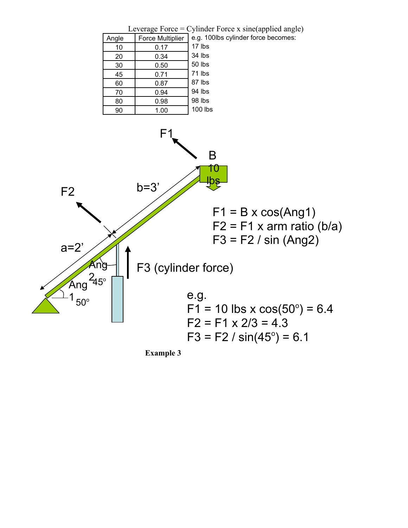

**Example 3**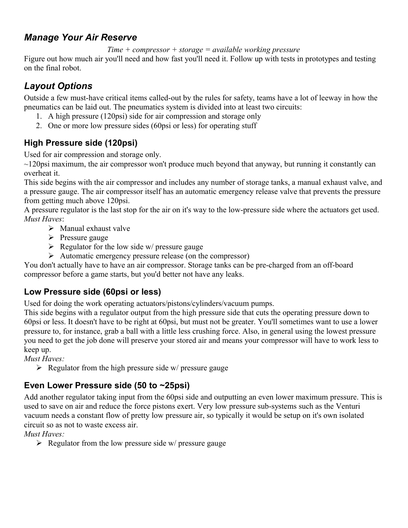## *Manage Your Air Reserve*

*Time + compressor + storage = available working pressure*

Figure out how much air you'll need and how fast you'll need it. Follow up with tests in prototypes and testing on the final robot.

## *Layout Options*

Outside a few must-have critical items called-out by the rules for safety, teams have a lot of leeway in how the pneumatics can be laid out. The pneumatics system is divided into at least two circuits:

- 1. A high pressure (120psi) side for air compression and storage only
- 2. One or more low pressure sides (60psi or less) for operating stuff

## **High Pressure side (120psi)**

Used for air compression and storage only.

 $\sim$ 120psi maximum, the air compressor won't produce much beyond that anyway, but running it constantly can overheat it.

This side begins with the air compressor and includes any number of storage tanks, a manual exhaust valve, and a pressure gauge. The air compressor itself has an automatic emergency release valve that prevents the pressure from getting much above 120psi.

A pressure regulator is the last stop for the air on it's way to the low-pressure side where the actuators get used. *Must Haves*:

- $\triangleright$  Manual exhaust valve
- $\triangleright$  Pressure gauge
- $\triangleright$  Regulator for the low side w/ pressure gauge
- $\triangleright$  Automatic emergency pressure release (on the compressor)

You don't actually have to have an air compressor. Storage tanks can be pre-charged from an off-board compressor before a game starts, but you'd better not have any leaks.

## **Low Pressure side (60psi or less)**

Used for doing the work operating actuators/pistons/cylinders/vacuum pumps.

This side begins with a regulator output from the high pressure side that cuts the operating pressure down to 60psi or less. It doesn't have to be right at 60psi, but must not be greater. You'll sometimes want to use a lower pressure to, for instance, grab a ball with a little less crushing force. Also, in general using the lowest pressure you need to get the job done will preserve your stored air and means your compressor will have to work less to keep up.

*Must Haves:*

 $\triangleright$  Regulator from the high pressure side w/ pressure gauge

## **Even Lower Pressure side (50 to ~25psi)**

Add another regulator taking input from the 60psi side and outputting an even lower maximum pressure. This is used to save on air and reduce the force pistons exert. Very low pressure sub-systems such as the Venturi vacuum needs a constant flow of pretty low pressure air, so typically it would be setup on it's own isolated circuit so as not to waste excess air.

*Must Haves:*

 $\triangleright$  Regulator from the low pressure side w/ pressure gauge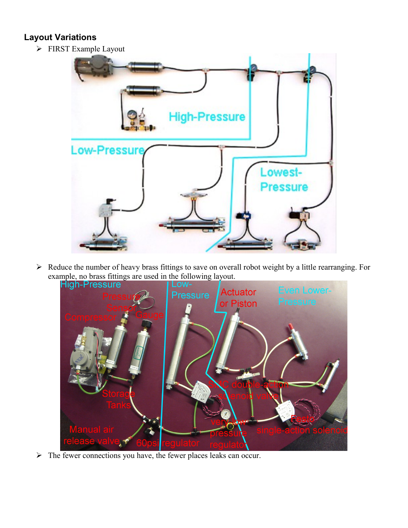#### **Layout Variations**

FIRST Example Layout



 Reduce the number of heavy brass fittings to save on overall robot weight by a little rearranging. For example, no brass fittings are used in the following layout.



 $\triangleright$  The fewer connections you have, the fewer places leaks can occur.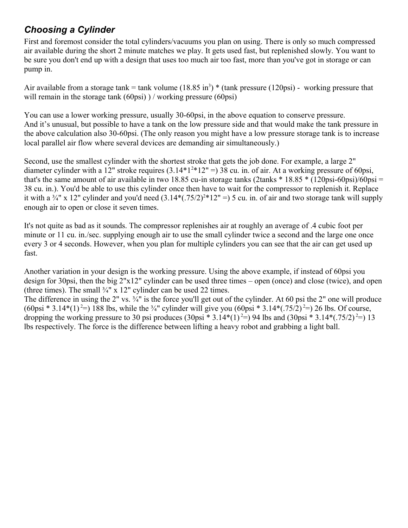## *Choosing a Cylinder*

First and foremost consider the total cylinders/vacuums you plan on using. There is only so much compressed air available during the short 2 minute matches we play. It gets used fast, but replenished slowly. You want to be sure you don't end up with a design that uses too much air too fast, more than you've got in storage or can pump in.

Air available from a storage tank = tank volume  $(18.85 \text{ in}^3)$  \* (tank pressure  $(120 \text{psi})$  - working pressure that will remain in the storage tank  $(60\pi)$ ) / working pressure  $(60\pi)$ 

You can use a lower working pressure, usually 30-60psi, in the above equation to conserve pressure. And it's unusual, but possible to have a tank on the low pressure side and that would make the tank pressure in the above calculation also 30-60psi. (The only reason you might have a low pressure storage tank is to increase local parallel air flow where several devices are demanding air simultaneously.)

Second, use the smallest cylinder with the shortest stroke that gets the job done. For example, a large 2" diameter cylinder with a 12" stroke requires  $(3.14*1^{2}*12")=38$  cu. in. of air. At a working pressure of 60psi, that's the same amount of air available in two 18.85 cu-in storage tanks (2tanks  $*$  18.85  $*$  (120psi-60psi)/60psi = 38 cu. in.). You'd be able to use this cylinder once then have to wait for the compressor to replenish it. Replace it with a  $\frac{3}{4}$ " x 12" cylinder and you'd need  $(3.14*(.75/2)^{2}*12" = 5$  cu. in. of air and two storage tank will supply enough air to open or close it seven times.

It's not quite as bad as it sounds. The compressor replenishes air at roughly an average of .4 cubic foot per minute or 11 cu. in./sec. supplying enough air to use the small cylinder twice a second and the large one once every 3 or 4 seconds. However, when you plan for multiple cylinders you can see that the air can get used up fast.

Another variation in your design is the working pressure. Using the above example, if instead of 60psi you design for 30psi, then the big 2"x12" cylinder can be used three times – open (once) and close (twice), and open (three times). The small  $\frac{3}{4}$ " x 12" cylinder can be used 22 times.

The difference in using the 2" vs.  $\frac{3}{4}$ " is the force you'll get out of the cylinder. At 60 psi the 2" one will produce  $(60\text{psi} * 3.14*(1)^2=) 188 \text{ lbs}$ , while the ¼" cylinder will give you  $(60\text{psi} * 3.14*(-75/2)^2=) 26 \text{ lbs}$ . Of course, dropping the working pressure to 30 psi produces  $(30\text{psi} * 3.14*(1)^2=)$  94 lbs and  $(30\text{psi} * 3.14*(-75/2)^2=)$  13 lbs respectively. The force is the difference between lifting a heavy robot and grabbing a light ball.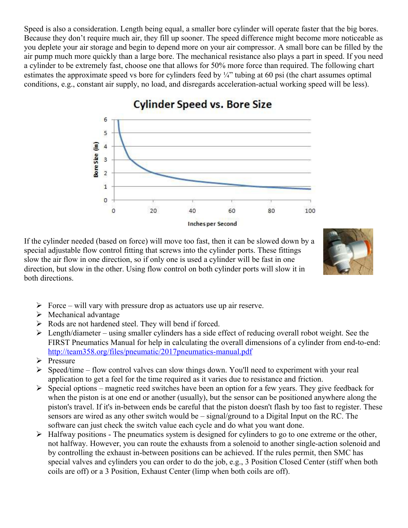Speed is also a consideration. Length being equal, a smaller bore cylinder will operate faster that the big bores. Because they don't require much air, they fill up sooner. The speed difference might become more noticeable as you deplete your air storage and begin to depend more on your air compressor. A small bore can be filled by the air pump much more quickly than a large bore. The mechanical resistance also plays a part in speed. If you need a cylinder to be extremely fast, choose one that allows for 50% more force than required. The following chart estimates the approximate speed vs bore for cylinders feed by ¼" tubing at 60 psi (the chart assumes optimal conditions, e.g., constant air supply, no load, and disregards acceleration-actual working speed will be less).



# **Cylinder Speed vs. Bore Size**

If the cylinder needed (based on force) will move too fast, then it can be slowed down by a special adjustable flow control fitting that screws into the cylinder ports. These fittings slow the air flow in one direction, so if only one is used a cylinder will be fast in one direction, but slow in the other. Using flow control on both cylinder ports will slow it in both directions.



- $\triangleright$  Force will vary with pressure drop as actuators use up air reserve.
- $\triangleright$  Mechanical advantage
- Rods are not hardened steel. They will bend if forced.
- $\triangleright$  Length/diameter using smaller cylinders has a side effect of reducing overall robot weight. See the FIRST Pneumatics Manual for help in calculating the overall dimensions of a cylinder from end-to-end: [http://team358.org/files/pneumatic/2017pneumatics-manual.pdf](http://team358.org/files/pneumatic/2007FRCPneumaticsManual.pdf)
- $\triangleright$  Pressure
- $\triangleright$  Speed/time flow control valves can slow things down. You'll need to experiment with your real application to get a feel for the time required as it varies due to resistance and friction.
- $\triangleright$  Special options magnetic reed switches have been an option for a few years. They give feedback for when the piston is at one end or another (usually), but the sensor can be positioned anywhere along the piston's travel. If it's in-between ends be careful that the piston doesn't flash by too fast to register. These sensors are wired as any other switch would be – signal/ground to a Digital Input on the RC. The software can just check the switch value each cycle and do what you want done.
- $\triangleright$  Halfway positions The pneumatics system is designed for cylinders to go to one extreme or the other, not halfway. However, you can route the exhausts from a solenoid to another single-action solenoid and by controlling the exhaust in-between positions can be achieved. If the rules permit, then SMC has special valves and cylinders you can order to do the job, e.g., 3 Position Closed Center (stiff when both coils are off) or a 3 Position, Exhaust Center (limp when both coils are off).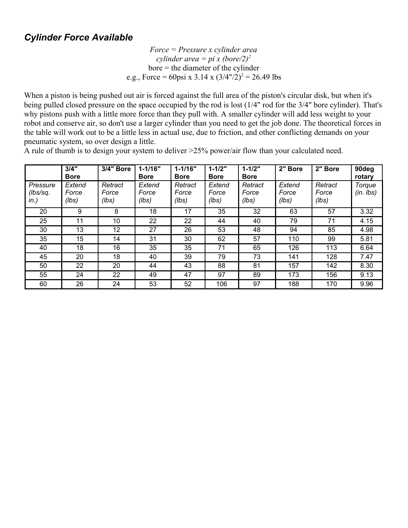## *Cylinder Force Available*

*Force = Pressure x cylinder area cylinder area = pi x (bore/2)<sup>2</sup>* bore = the diameter of the cylinder e.g., Force = 60psi x 3.14 x  $(3/4" / 2)^2 = 26.49$  lbs

When a piston is being pushed out air is forced against the full area of the piston's circular disk, but when it's being pulled closed pressure on the space occupied by the rod is lost (1/4" rod for the 3/4" bore cylinder). That's why pistons push with a little more force than they pull with. A smaller cylinder will add less weight to your robot and conserve air, so don't use a larger cylinder than you need to get the job done. The theoretical forces in the table will work out to be a little less in actual use, due to friction, and other conflicting demands on your pneumatic system, so over design a little.

|                              | 3/4"<br><b>Bore</b>      | 3/4" Bore                 | $1 - 1/16"$<br><b>Bore</b> | $1 - 1/16"$<br><b>Bore</b> | $1 - 1/2"$<br><b>Bore</b> | $1 - 1/2"$<br><b>Bore</b> | 2" Bore                  | 2" Bore                   | 90deg<br>rotary         |
|------------------------------|--------------------------|---------------------------|----------------------------|----------------------------|---------------------------|---------------------------|--------------------------|---------------------------|-------------------------|
| Pressure<br>(lbs/sq.<br>in.) | Extend<br>Force<br>(lbs) | Retract<br>Force<br>(lbs) | Extend<br>Force<br>(lbs)   | Retract<br>Force<br>(lbs)  | Extend<br>Force<br>(lbs)  | Retract<br>Force<br>(lbs) | Extend<br>Force<br>(lbs) | Retract<br>Force<br>(lbs) | Torque<br>$(in.$ $lbs)$ |
| 20                           | 9                        | 8                         | 18                         | 17                         | 35                        | 32                        | 63                       | 57                        | 3.32                    |
| 25                           | 11                       | 10                        | 22                         | 22                         | 44                        | 40                        | 79                       | 71                        | 4.15                    |
| 30                           | 13                       | 12                        | 27                         | 26                         | 53                        | 48                        | 94                       | 85                        | 4.98                    |
| 35                           | 15                       | 14                        | 31                         | 30                         | 62                        | 57                        | 110                      | 99                        | 5.81                    |
| 40                           | 18                       | 16                        | 35                         | 35                         | 71                        | 65                        | 126                      | 113                       | 6.64                    |
| 45                           | 20                       | 18                        | 40                         | 39                         | 79                        | 73                        | 141                      | 128                       | 7.47                    |
| 50                           | 22                       | 20                        | 44                         | 43                         | 88                        | 81                        | 157                      | 142                       | 8.30                    |
| 55                           | 24                       | 22                        | 49                         | 47                         | 97                        | 89                        | 173                      | 156                       | 9.13                    |
| 60                           | 26                       | 24                        | 53                         | 52                         | 106                       | 97                        | 188                      | 170                       | 9.96                    |

A rule of thumb is to design your system to deliver >25% power/air flow than your calculated need.